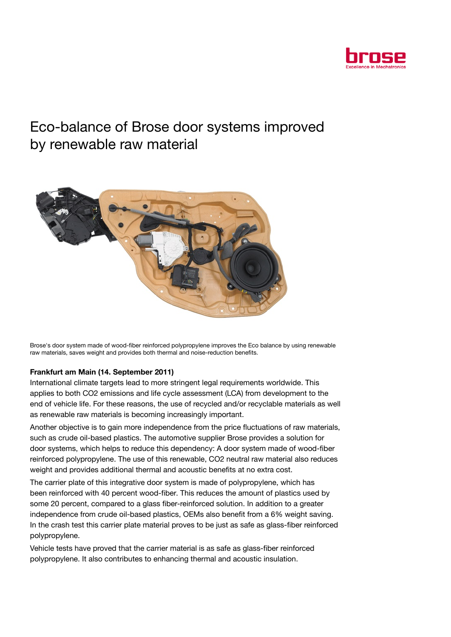

## Eco-balance of Brose door systems improved by renewable raw material



Brose's door system made of wood-fiber reinforced polypropylene improves the Eco balance by using renewable raw materials, saves weight and provides both thermal and noise-reduction benefits.

## Frankfurt am Main (14. September 2011)

International climate targets lead to more stringent legal requirements worldwide. This applies to both CO2 emissions and life cycle assessment (LCA) from development to the end of vehicle life. For these reasons, the use of recycled and/or recyclable materials as well as renewable raw materials is becoming increasingly important.

Another objective is to gain more independence from the price fluctuations of raw materials, such as crude oil-based plastics. The automotive supplier Brose provides a solution for door systems, which helps to reduce this dependency: A door system made of wood-fiber reinforced polypropylene. The use of this renewable, CO2 neutral raw material also reduces weight and provides additional thermal and acoustic benefits at no extra cost.

The carrier plate of this integrative door system is made of polypropylene, which has been reinforced with 40 percent wood-fiber. This reduces the amount of plastics used by some 20 percent, compared to a glass fiber-reinforced solution. In addition to a greater independence from crude oil-based plastics, OEMs also benefit from a 6% weight saving. In the crash test this carrier plate material proves to be just as safe as glass-fiber reinforced polypropylene.

Vehicle tests have proved that the carrier material is as safe as glass-fiber reinforced polypropylene. It also contributes to enhancing thermal and acoustic insulation.